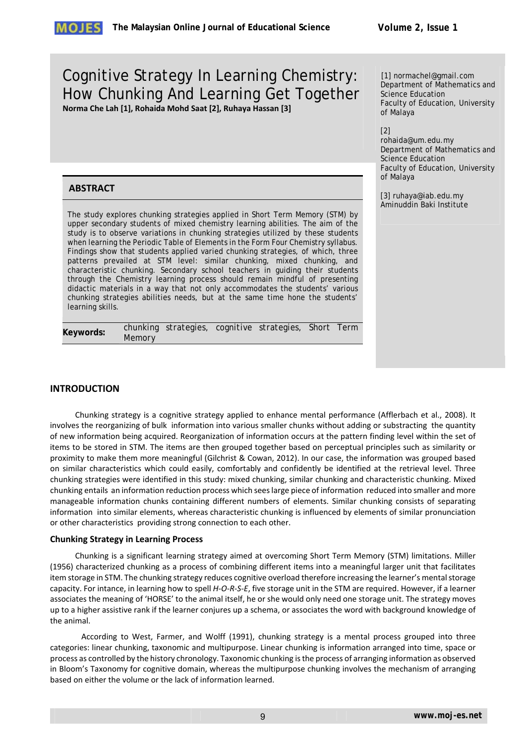# Cognitive Strategy In Learning Chemistry: How Chunking And Learning Get Together **Norma Che Lah [1], Rohaida Mohd Saat [2], Ruhaya Hassan [3]**

[1] normachel@gmail.com Department of Mathematics and Science Education Faculty of Education, University of Malaya

[2]

rohaida@um.edu.my Department of Mathematics and Science Education Faculty of Education, University of Malaya

[3] ruhaya@iab.edu.my Aminuddin Baki Institute

# **ABSTRACT**

The study explores chunking strategies applied in Short Term Memory (STM) by upper secondary students of mixed chemistry learning abilities. The aim of the study is to observe variations in chunking strategies utilized by these students when learning the Periodic Table of Elements in the Form Four Chemistry syllabus. Findings show that students applied varied chunking strategies, of which, three patterns prevailed at STM level: similar chunking, mixed chunking, and characteristic chunking. Secondary school teachers in guiding their students through the Chemistry learning process should remain mindful of presenting didactic materials in a way that not only accommodates the students' various chunking strategies abilities needs, but at the same time hone the students' learning skills.

| Keywords: |        |  | chunking strategies, cognitive strategies, Short Term |  |
|-----------|--------|--|-------------------------------------------------------|--|
|           | Memory |  |                                                       |  |

# **INTRODUCTION**

Chunking strategy is a cognitive strategy applied to enhance mental performance (Afflerbach et al., 2008). It involves the reorganizing of bulk information into various smaller chunks without adding or substracting the quantity of new information being acquired. Reorganization of information occurs at the pattern finding level within the set of items to be stored in STM. The items are then grouped together based on perceptual principles such as similarity or proximity to make them more meaningful (Gilchrist & Cowan, 2012). In our case, the information was grouped based on similar characteristics which could easily, comfortably and confidently be identified at the retrieval level. Three chunking strategies were identified in this study: mixed chunking, similar chunking and characteristic chunking. Mixed chunking entails an information reduction process which seeslarge piece of information reduced into smaller and more manageable information chunks containing different numbers of elements. Similar chunking consists of separating information into similar elements, whereas characteristic chunking is influenced by elements of similar pronunciation or other characteristics providing strong connection to each other.

## **Chunking Strategy in Learning Process**

Chunking is a significant learning strategy aimed at overcoming Short Term Memory (STM) limitations. Miller (1956) characterized chunking as a process of combining different items into a meaningful larger unit that facilitates item storage in STM. The chunking strategy reduces cognitive overload therefore increasing the learner's mental storage capacity. For intance, in learning how to spell *H‐O‐R‐S‐E*, five storage unit in the STM are required. However, if a learner associates the meaning of 'HORSE' to the animal itself, he or she would only need one storage unit. The strategy moves up to a higher assistive rank if the learner conjures up a schema, or associates the word with background knowledge of the animal.

According to West, Farmer, and Wolff (1991), chunking strategy is a mental process grouped into three categories: linear chunking, taxonomic and multipurpose. Linear chunking is information arranged into time, space or process as controlled by the history chronology. Taxonomic chunking isthe process of arranging information as observed in Bloom's Taxonomy for cognitive domain, whereas the multipurpose chunking involves the mechanism of arranging based on either the volume or the lack of information learned.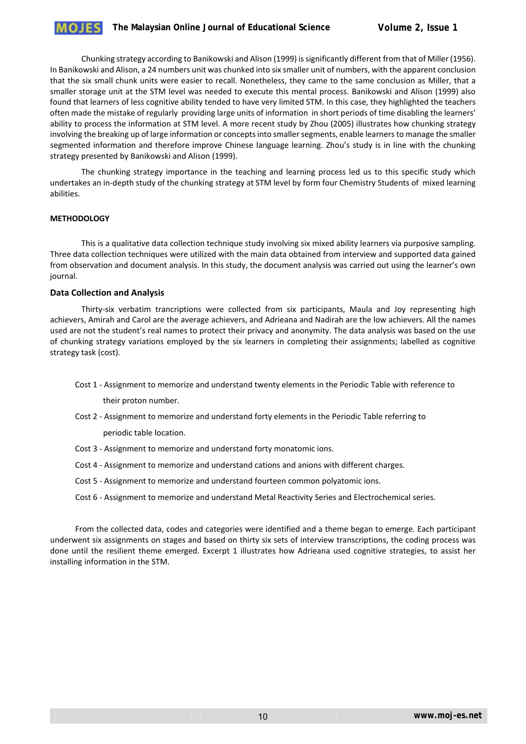Chunking strategy according to Banikowski and Alison (1999) issignificantly different from that of Miller (1956). In Banikowski and Alison, a 24 numbers unit was chunked into six smaller unit of numbers, with the apparent conclusion that the six small chunk units were easier to recall. Nonetheless, they came to the same conclusion as Miller, that a smaller storage unit at the STM level was needed to execute this mental process. Banikowski and Alison (1999) also found that learners of less cognitive ability tended to have very limited STM. In this case, they highlighted the teachers often made the mistake of regularly providing large units of information in short periods of time disabling the learners' ability to process the information at STM level. A more recent study by Zhou (2005) illustrates how chunking strategy involving the breaking up of large information or concepts into smaller segments, enable learners to manage the smaller segmented information and therefore improve Chinese language learning. Zhou's study is in line with the chunking strategy presented by Banikowski and Alison (1999).

The chunking strategy importance in the teaching and learning process led us to this specific study which undertakes an in‐depth study of the chunking strategy at STM level by form four Chemistry Students of mixed learning abilities.

## **METHODOLOGY**

This is a qualitative data collection technique study involving six mixed ability learners via purposive sampling. Three data collection techniques were utilized with the main data obtained from interview and supported data gained from observation and document analysis. In this study, the document analysis was carried out using the learner's own journal.

### **Data Collection and Analysis**

Thirty‐six verbatim trancriptions were collected from six participants, Maula and Joy representing high achievers, Amirah and Carol are the average achievers, and Adrieana and Nadirah are the low achievers. All the names used are not the student's real names to protect their privacy and anonymity. The data analysis was based on the use of chunking strategy variations employed by the six learners in completing their assignments; labelled as cognitive strategy task (cost).

Cost 1 ‐ Assignment to memorize and understand twenty elements in the Periodic Table with reference to

their proton number.

Cost 2 ‐ Assignment to memorize and understand forty elements in the Periodic Table referring to

periodic table location.

- Cost 3 ‐ Assignment to memorize and understand forty monatomic ions.
- Cost 4 ‐ Assignment to memorize and understand cations and anions with different charges.
- Cost 5 ‐ Assignment to memorize and understand fourteen common polyatomic ions.
- Cost 6 ‐ Assignment to memorize and understand Metal Reactivity Series and Electrochemical series.

From the collected data, codes and categories were identified and a theme began to emerge. Each participant underwent six assignments on stages and based on thirty six sets of interview transcriptions, the coding process was done until the resilient theme emerged. Excerpt 1 illustrates how Adrieana used cognitive strategies, to assist her installing information in the STM.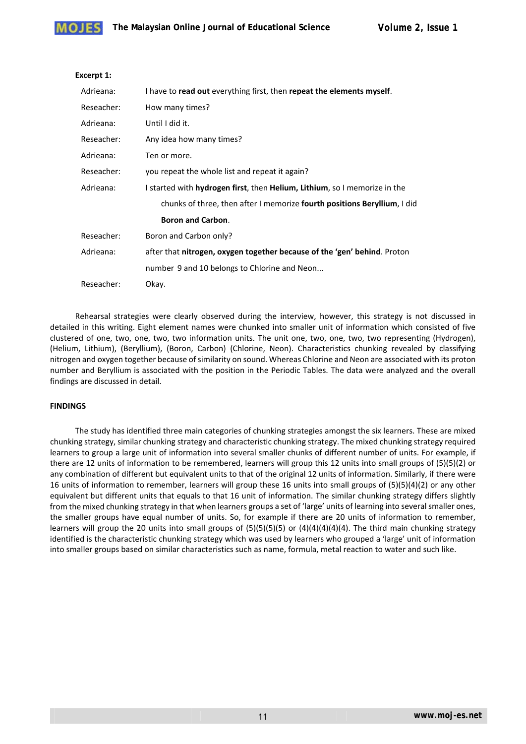

## **Excerpt 1:**

| Adrieana:  | I have to read out everything first, then repeat the elements myself.     |  |  |
|------------|---------------------------------------------------------------------------|--|--|
| Reseacher: | How many times?                                                           |  |  |
| Adrieana:  | Until I did it.                                                           |  |  |
| Reseacher: | Any idea how many times?                                                  |  |  |
| Adrieana:  | Ten or more.                                                              |  |  |
| Reseacher: | you repeat the whole list and repeat it again?                            |  |  |
| Adrieana:  | I started with hydrogen first, then Helium, Lithium, so I memorize in the |  |  |
|            | chunks of three, then after I memorize fourth positions Beryllium, I did  |  |  |
|            | <b>Boron and Carbon.</b>                                                  |  |  |
| Reseacher: | Boron and Carbon only?                                                    |  |  |
| Adrieana:  | after that nitrogen, oxygen together because of the 'gen' behind. Proton  |  |  |
|            | number 9 and 10 belongs to Chlorine and Neon                              |  |  |
| Reseacher: | Okay.                                                                     |  |  |

Rehearsal strategies were clearly observed during the interview, however, this strategy is not discussed in detailed in this writing. Eight element names were chunked into smaller unit of information which consisted of five clustered of one, two, one, two, two information units. The unit one, two, one, two, two representing (Hydrogen), (Helium, Lithium), (Beryllium), (Boron, Carbon) (Chlorine, Neon). Characteristics chunking revealed by classifying nitrogen and oxygen together because of similarity on sound. Whereas Chlorine and Neon are associated with its proton number and Beryllium is associated with the position in the Periodic Tables. The data were analyzed and the overall findings are discussed in detail.

## **FINDINGS**

The study has identified three main categories of chunking strategies amongst the six learners. These are mixed chunking strategy, similar chunking strategy and characteristic chunking strategy. The mixed chunking strategy required learners to group a large unit of information into several smaller chunks of different number of units. For example, if there are 12 units of information to be remembered, learners will group this 12 units into small groups of (5)(5)(2) or any combination of different but equivalent units to that of the original 12 units of information. Similarly, if there were 16 units of information to remember, learners will group these 16 units into small groups of (5)(5)(4)(2) or any other equivalent but different units that equals to that 16 unit of information. The similar chunking strategy differs slightly from the mixed chunking strategy in that when learners groups a set of 'large' units of learning into several smaller ones, the smaller groups have equal number of units. So, for example if there are 20 units of information to remember, learners will group the 20 units into small groups of  $(5)(5)(5)(5)$  or  $(4)(4)(4)(4)(4)$ . The third main chunking strategy identified is the characteristic chunking strategy which was used by learners who grouped a 'large' unit of information into smaller groups based on similar characteristics such as name, formula, metal reaction to water and such like.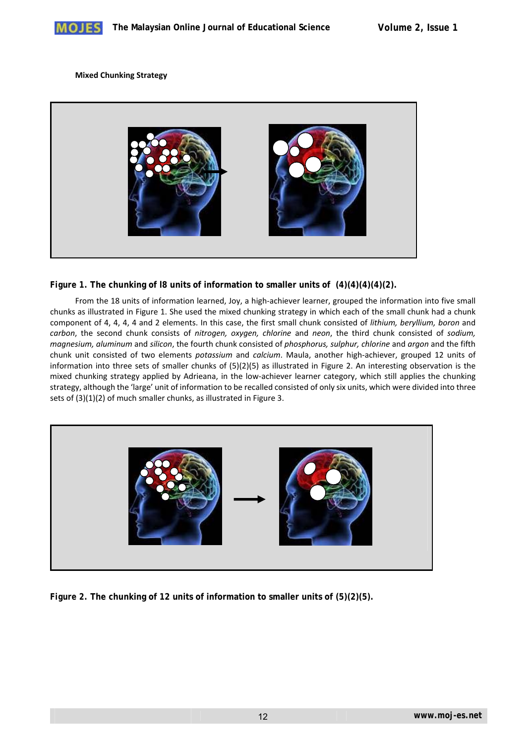

## **Mixed Chunking Strategy**



# *Figure 1.* **The chunking of l8 units of information to smaller units of (4)(4)(4)(4)(2).**

From the 18 units of information learned, Joy, a high‐achiever learner, grouped the information into five small chunks as illustrated in Figure 1. She used the mixed chunking strategy in which each of the small chunk had a chunk component of 4, 4, 4, 4 and 2 elements. In this case, the first small chunk consisted of *lithium, beryllium, boron* and *carbon*, the second chunk consists of *nitrogen, oxygen, chlorine* and *neon*, the third chunk consisted of *sodium, magnesium, aluminum* and *silicon*, the fourth chunk consisted of *phosphorus, sulphur, chlorine* and *argon* and the fifth chunk unit consisted of two elements *potassium* and *calcium*. Maula, another high‐achiever, grouped 12 units of information into three sets of smaller chunks of (5)(2)(5) as illustrated in Figure 2. An interesting observation is the mixed chunking strategy applied by Adrieana, in the low-achiever learner category, which still applies the chunking strategy, although the 'large' unit of information to be recalled consisted of only six units, which were divided into three sets of (3)(1)(2) of much smaller chunks, as illustrated in Figure 3.



*Figure 2.* **The chunking of 12 units of information to smaller units of (5)(2)(5).**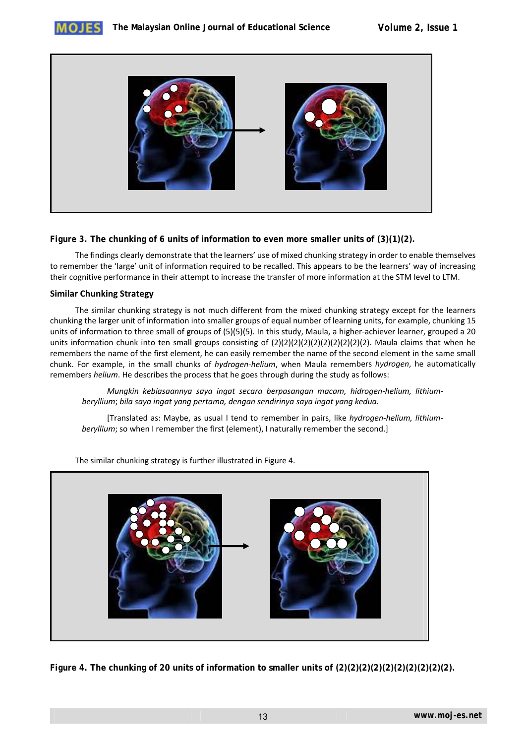



# *Figure 3.* **The chunking of 6 units of information to even more smaller units of (3)(1)(2).**

The findings clearly demonstrate that the learners' use of mixed chunking strategy in order to enable themselves to remember the 'large' unit of information required to be recalled. This appears to be the learners' way of increasing their cognitive performance in their attempt to increase the transfer of more information at the STM level to LTM.

# **Similar Chunking Strategy**

The similar chunking strategy is not much different from the mixed chunking strategy except for the learners chunking the larger unit of information into smaller groups of equal number of learning units, for example, chunking 15 units of information to three small of groups of (5)(5)(5). In this study, Maula, a higher-achiever learner, grouped a 20 units information chunk into ten small groups consisting of (2)(2)(2)(2)(2)(2)(2)(2)(2)(2). Maula claims that when he remembers the name of the first element, he can easily remember the name of the second element in the same small chunk. For example, in the small chunks of *hydrogen‐helium*, when Maula remembers *hydrogen*, he automatically remembers *helium*. He describes the process that he goes through during the study as follows:

*Mungkin kebiasaannya saya ingat secara berpasangan macam, hidrogen‐helium, lithium‐ beryllium*; *bila saya ingat yang pertama, dengan sendirinya saya ingat yang kedua.*

[Translated as: Maybe, as usual I tend to remember in pairs, like *hydrogen‐helium, lithium‐ beryllium*; so when I remember the first (element), I naturally remember the second.]



The similar chunking strategy is further illustrated in Figure 4.

*Figure 4***. The chunking of 20 units of information to smaller units of (2)(2)(2)(2)(2)(2)(2)(2)(2)(2).**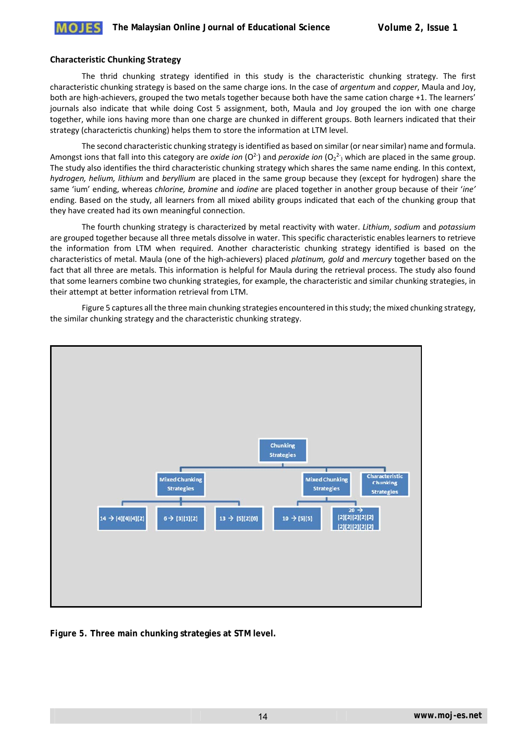## **Characteristic Chunking Strategy**

The thrid chunking strategy identified in this study is the characteristic chunking strategy. The first characteristic chunking strategy is based on the same charge ions. In the case of *argentum* and *copper*, Maula and Joy, both are high-achievers, grouped the two metals together because both have the same cation charge +1. The learners' journals also indicate that while doing Cost 5 assignment, both, Maula and Joy grouped the ion with one charge together, while ions having more than one charge are chunked in different groups. Both learners indicated that their strategy (characterictis chunking) helps them to store the information at LTM level.

The second characteristic chunking strategy isidentified as based on similar (or nearsimilar) name and formula. Amongst ions that fall into this category are *oxide ion* (O<sup>2-</sup>) and *peroxide ion* (O<sub>2</sub><sup>2-</sup>) which are placed in the same group. The study also identifies the third characteristic chunking strategy which shares the same name ending. In this context, *hydrogen, helium, lithium* and *beryllium* are placed in the same group because they (except for hydrogen) share the same 'ium' ending, whereas *chlorine, bromine* and *iodine* are placed together in another group because of their '*ine'* ending. Based on the study, all learners from all mixed ability groups indicated that each of the chunking group that they have created had its own meaningful connection.

The fourth chunking strategy is characterized by metal reactivity with water. *Lithium*, *sodium* and *potassium* are grouped together because all three metals dissolve in water. This specific characteristic enables learners to retrieve the information from LTM when required. Another characteristic chunking strategy identified is based on the characteristics of metal. Maula (one of the high‐achievers) placed *platinum, gold* and *mercury* together based on the fact that all three are metals. This information is helpful for Maula during the retrieval process. The study also found that some learners combine two chunking strategies, for example, the characteristic and similar chunking strategies, in their attempt at better information retrieval from LTM.

Figure 5 captures all the three main chunking strategies encountered in thisstudy; the mixed chunking strategy, the similar chunking strategy and the characteristic chunking strategy.



*Figure 5.* **Three main chunking strategies at STM level.**